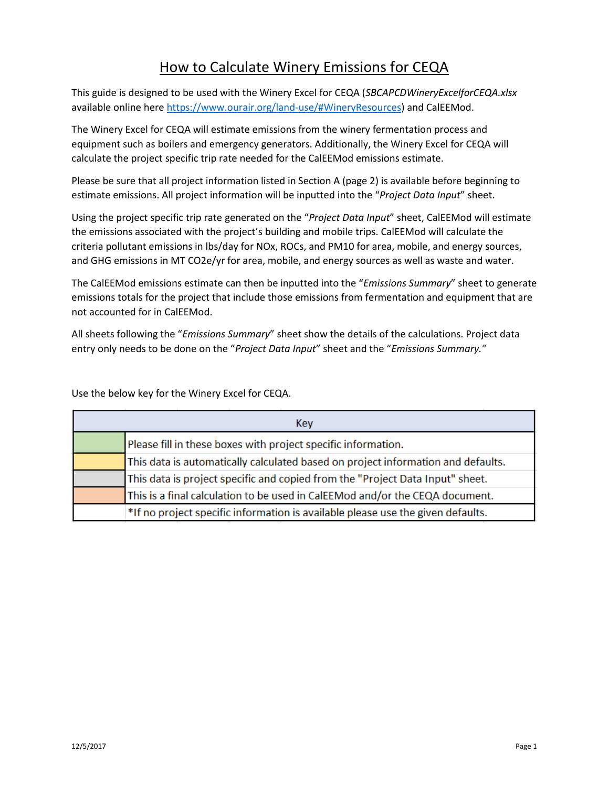# How to Calculate Winery Emissions for CEQA

This guide is designed to be used with the Winery Excel for CEQA (*SBCAPCDWineryExcelforCEQA.xlsx* available online here [https://www.ourair.org/land-use/#WineryResources\)](https://www.ourair.org/land-use/#WineryResources) and CalEEMod.

The Winery Excel for CEQA will estimate emissions from the winery fermentation process and equipment such as boilers and emergency generators. Additionally, the Winery Excel for CEQA will calculate the project specific trip rate needed for the CalEEMod emissions estimate.

Please be sure that all project information listed in Section A (page 2) is available before beginning to estimate emissions. All project information will be inputted into the "*Project Data Input*" sheet.

Using the project specific trip rate generated on the "*Project Data Input*" sheet, CalEEMod will estimate the emissions associated with the project's building and mobile trips. CalEEMod will calculate the criteria pollutant emissions in lbs/day for NOx, ROCs, and PM10 for area, mobile, and energy sources, and GHG emissions in MT CO2e/yr for area, mobile, and energy sources as well as waste and water.

The CalEEMod emissions estimate can then be inputted into the "*Emissions Summary*" sheet to generate emissions totals for the project that include those emissions from fermentation and equipment that are not accounted for in CalEEMod.

All sheets following the "*Emissions Summary*" sheet show the details of the calculations. Project data entry only needs to be done on the "*Project Data Input*" sheet and the "*Emissions Summary."*

Use the below key for the Winery Excel for CEQA.

| Kev                                                                              |
|----------------------------------------------------------------------------------|
| Please fill in these boxes with project specific information.                    |
| This data is automatically calculated based on project information and defaults. |
| This data is project specific and copied from the "Project Data Input" sheet.    |
| This is a final calculation to be used in CalEEMod and/or the CEQA document.     |
| *If no project specific information is available please use the given defaults.  |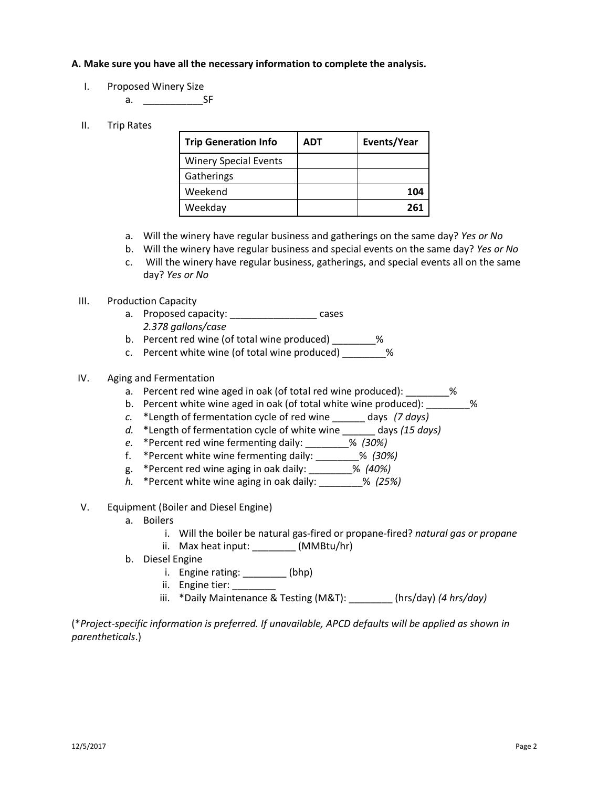### **A. Make sure you have all the necessary information to complete the analysis.**

I. Proposed Winery Size

a. \_\_\_\_\_\_\_\_\_\_\_SF

## II. Trip Rates

| <b>Trip Generation Info</b>  | <b>ADT</b> | Events/Year |
|------------------------------|------------|-------------|
| <b>Winery Special Events</b> |            |             |
| Gatherings                   |            |             |
| Weekend                      |            | 104         |
| Weekday                      |            | 261         |

- a. Will the winery have regular business and gatherings on the same day? *Yes or No*
- b. Will the winery have regular business and special events on the same day? *Yes or No*
- c. Will the winery have regular business, gatherings, and special events all on the same day? *Yes or No*

#### III. Production Capacity

- a. Proposed capacity: \_\_\_\_\_\_\_\_\_\_\_\_\_\_\_\_\_\_\_\_ cases *2.378 gallons/case*
- b. Percent red wine (of total wine produced) \_\_\_\_\_\_\_\_%
- c. Percent white wine (of total wine produced)  $\%$

#### IV. Aging and Fermentation

- a. Percent red wine aged in oak (of total red wine produced): \_\_\_\_\_\_\_\_%
- b. Percent white wine aged in oak (of total white wine produced): \_\_\_\_\_\_\_\_\_%
- *c.* \*Length of fermentation cycle of red wine \_\_\_\_\_\_ days *(7 days)*
- *d.* \*Length of fermentation cycle of white wine \_\_\_\_\_\_ days *(15 days)*
- *e.* \*Percent red wine fermenting daily: \_\_\_\_\_\_\_\_% *(30%)*
- f. \*Percent white wine fermenting daily: \_\_\_\_\_\_\_\_% *(30%)*
- g. \*Percent red wine aging in oak daily: \_\_\_\_\_\_\_\_% *(40%)*
- *h.* \*Percent white wine aging in oak daily: \_\_\_\_\_\_\_\_% *(25%)*
- V. Equipment (Boiler and Diesel Engine)
	- a. Boilers
		- i. Will the boiler be natural gas-fired or propane-fired? *natural gas or propane*
		- ii. Max heat input: \_\_\_\_\_\_\_\_ (MMBtu/hr)
	- b. Diesel Engine
		- i. Engine rating:  $\frac{1}{2}$  (bhp)
		- ii. Engine tier:
		- iii. \*Daily Maintenance & Testing (M&T): \_\_\_\_\_\_\_\_ (hrs/day) *(4 hrs/day)*

(\**Project-specific information is preferred. If unavailable, APCD defaults will be applied as shown in parentheticals*.)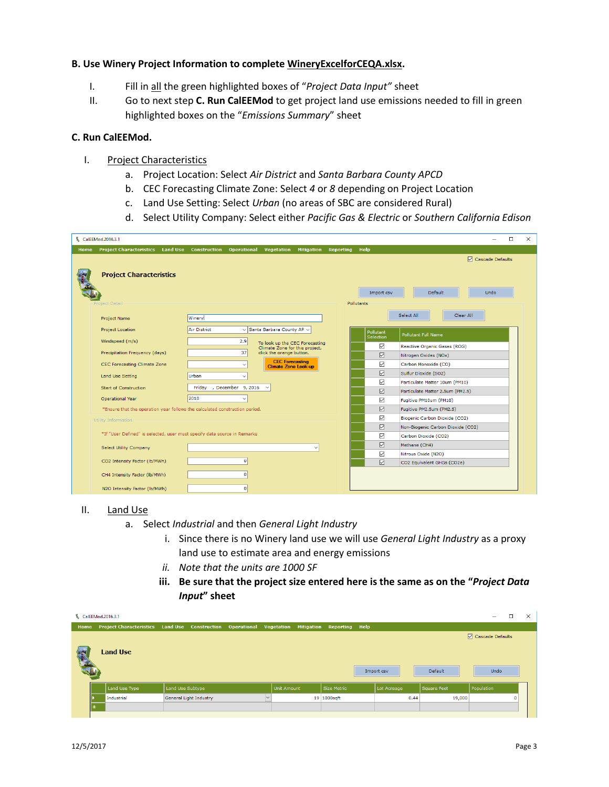## **B. Use Winery Project Information to complete WineryExcelforCEQA.xlsx.**

- I. Fill in all the green highlighted boxes of "*Project Data Input"* sheet
- II. Go to next step **C. Run CalEEMod** to get project land use emissions needed to fill in green highlighted boxes on the "*Emissions Summary*" sheet

#### **C. Run CalEEMod.**

- I. Project Characteristics
	- a. Project Location: Select *Air District* and *Santa Barbara County APCD*
	- b. CEC Forecasting Climate Zone: Select *4* or *8* depending on Project Location
	- c. Land Use Setting: Select *Urban* (no areas of SBC are considered Rural)
	- d. Select Utility Company: Select either *Pacific Gas & Electric* or *Southern California Edison*

| & CalEEMod.2016.3.1                                                         |                                                                         | $\Box$<br>X                                          |
|-----------------------------------------------------------------------------|-------------------------------------------------------------------------|------------------------------------------------------|
| Project Characteristics Land Use Construction Operational<br>Home           | Vegetation Mitigation Reporting Help                                    |                                                      |
|                                                                             |                                                                         | □ Cascade Defaults                                   |
| <b>Project Characteristics</b>                                              |                                                                         | Default<br>Undo<br>Import csv<br>Pollutants          |
| Project Detail                                                              |                                                                         |                                                      |
| Project Name                                                                | Winery                                                                  | Select All<br>Clear All                              |
| Project Location                                                            | $\vee$ Santa Barbara County AP $\vee$<br>Air District                   | Pollutant<br><b>Pollutant Full Name</b><br>Selection |
| Windspeed (m/s)                                                             | 2.9<br>To look up the CEC Forecasting<br>Climate Zone for this project, | $\triangledown$<br>Reactive Organic Gases (ROG)      |
| Precipitation Frequency (days)                                              | click the orange button.<br>37 <sup>1</sup>                             | ☑<br>Nitrogen Oxides (NOx)                           |
| CEC Forecasting Climate Zone                                                | <b>CEC</b> Forecasting<br>$\checkmark$<br>Climate Zone Look-up          | ☑<br>Carbon Monoxide (CO)                            |
| Land Use Setting                                                            | Urban<br>$\check{~}$                                                    | ☑<br>Sulfur Dioxide (SO2)                            |
|                                                                             |                                                                         | ☑<br>Particulate Matter 10um (PM10)                  |
| <b>Start of Construction</b>                                                | , December 9, 2016<br>Friday<br>$\check{~}$                             | ☑<br>Particulate Matter 2.5um (PM2.5)                |
| Operational Year                                                            | 2018                                                                    | ☑<br>Fugitive PM10um (PM10)                          |
| *Ensure that the operation year follows the calculated construction period. |                                                                         | ☑<br>Fugitive PM2.5um (PM2.5)                        |
| Utility Information                                                         |                                                                         | ☑<br>Biogenic Carbon Dioxide (CO2)                   |
|                                                                             |                                                                         | ☑<br>Non-Biogenic Carbon Dioxide (CO2)               |
| *If "User Defined" is selected, user must specify data source in Remarks    |                                                                         | ☑<br>Carbon Dioxide (CO2)                            |
| <b>Select Utility Company</b>                                               | $\checkmark$                                                            | ☑<br>Methane (CH4)                                   |
|                                                                             |                                                                         | ☑<br>Nitrous Oxide (N2O)                             |
| CO2 Intensity Factor (lb/MWh)                                               | $\overline{0}$                                                          | ☑<br>CO2 Equivalent GHGs (CO2e)                      |
| CH4 Intensity Factor (lb/MWh)                                               | $\overline{0}$                                                          |                                                      |
| N2O Intensity Factor (lb/MWh)                                               | $\overline{0}$                                                          |                                                      |

#### II. Land Use

- a. Select *Industrial* and then *General Light Industry*
	- i. Since there is no Winery land use we will use *General Light Industry* as a proxy land use to estimate area and energy emissions
	- *ii. Note that the units are 1000 SF*
	- **iii. Be sure that the project size entered here is the same as on the "***Project Data Input***" sheet**

|      | & CalEEMod.2016.3.1 |                                                                                                |                    |             |             |             | □                          | $\times$ |
|------|---------------------|------------------------------------------------------------------------------------------------|--------------------|-------------|-------------|-------------|----------------------------|----------|
| Home |                     | Project Characteristics Land Use Construction Operational Vegetation Mitigation Reporting Help |                    |             |             |             |                            |          |
|      | <b>Land Use</b>     |                                                                                                |                    |             | Import csv  | Default     | □ Cascade Defaults<br>Undo |          |
|      | Land Use Type       | Land Use Subtype                                                                               | <b>Unit Amount</b> | Size Metric | Lot Acreage | Square Feet | Population                 |          |
|      | Industrial          | General Light Industry                                                                         |                    | 19 1000sqft | 0.44        | 19,000      | $\Omega$                   |          |
|      | ∦                   |                                                                                                |                    |             |             |             |                            |          |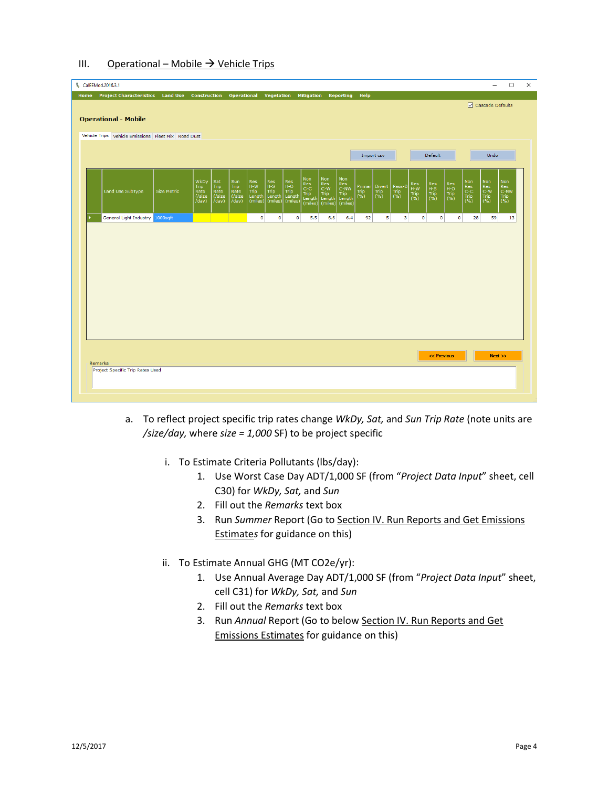## III. Operational – Mobile  $\rightarrow$  Vehicle Trips

| & CalEEMod.2016.3.1                                                                                 |                                                                                                                                      |                                                                                              | $\Box$<br>$\times$<br>$\equiv$                                                                                                                 |
|-----------------------------------------------------------------------------------------------------|--------------------------------------------------------------------------------------------------------------------------------------|----------------------------------------------------------------------------------------------|------------------------------------------------------------------------------------------------------------------------------------------------|
| Home Project Characteristics Land Use Construction Operational Vegetation Mitigation Reporting Help |                                                                                                                                      |                                                                                              |                                                                                                                                                |
|                                                                                                     |                                                                                                                                      |                                                                                              | □ Cascade Defaults                                                                                                                             |
| <b>Operational - Mobile</b>                                                                         |                                                                                                                                      |                                                                                              |                                                                                                                                                |
| Vehicle Trips Vehicle Emissions Fleet Mix Road Dust                                                 |                                                                                                                                      |                                                                                              |                                                                                                                                                |
|                                                                                                     |                                                                                                                                      |                                                                                              |                                                                                                                                                |
|                                                                                                     |                                                                                                                                      | Import csv                                                                                   | Default<br>Undo                                                                                                                                |
|                                                                                                     |                                                                                                                                      |                                                                                              |                                                                                                                                                |
| WkDy<br>Sat<br>Trip<br>Trip                                                                         | Non<br>Sun<br>Res<br>Res<br>$\left  \begin{smallmatrix} \text{Res} \ \text{C-C} \end{smallmatrix} \right $<br>$H-W$<br>$H-S$<br>Trip | Non<br>Non<br>$ResC-W$<br>$ResC-NW$<br>Res<br>H-W<br>Pass-B<br>Primar<br>Divert              | Non<br>$ResH-S$                                                                                                                                |
| Land Use SubType<br>Size Metric<br>Rate<br>Rate<br>$($ /size<br>$($ /size                           | Res<br>H-O<br>Trip<br>Length<br>Rate<br>Trip<br>Trip<br>Length<br>Trip<br>(/size<br>Length<br>Length                                 | Trip<br>(%)<br>Trip<br>(%)<br>Trip<br>(%)<br>Trip<br>Trip<br>(%)<br>Trip<br>Length<br>Length | Non<br>Res<br>C-C<br>Trip<br>(%)<br>Non<br>Res<br>C-W<br>Trip<br>(%)<br>Res<br>H-O<br>Trip<br>(%)<br>Res<br>C-NW<br>Trip<br>(%)<br>Trip<br>(%) |
| /day)<br>/day)                                                                                      | $\chi$ day)<br>(miles)<br>(miles)<br>(miles)<br>(miles)                                                                              | (miles)<br>(miles)                                                                           |                                                                                                                                                |
| General Light Industry 1000sqft                                                                     | $\bullet$<br>$\circ$<br>$\circ$<br>5.5                                                                                               | 92<br>5<br>$\overline{\mathbf{3}}$<br>$\circ$<br>6.6<br>6.4                                  | $\bullet$<br>$\circ$<br>28<br>59<br>13                                                                                                         |
|                                                                                                     |                                                                                                                                      |                                                                                              |                                                                                                                                                |
|                                                                                                     |                                                                                                                                      |                                                                                              |                                                                                                                                                |
|                                                                                                     |                                                                                                                                      |                                                                                              |                                                                                                                                                |
|                                                                                                     |                                                                                                                                      |                                                                                              |                                                                                                                                                |
|                                                                                                     |                                                                                                                                      |                                                                                              |                                                                                                                                                |
|                                                                                                     |                                                                                                                                      |                                                                                              |                                                                                                                                                |
|                                                                                                     |                                                                                                                                      |                                                                                              |                                                                                                                                                |
|                                                                                                     |                                                                                                                                      |                                                                                              |                                                                                                                                                |
|                                                                                                     |                                                                                                                                      |                                                                                              |                                                                                                                                                |
|                                                                                                     |                                                                                                                                      |                                                                                              |                                                                                                                                                |
|                                                                                                     |                                                                                                                                      |                                                                                              | << Previous<br>Next                                                                                                                            |
| Remarks                                                                                             |                                                                                                                                      |                                                                                              |                                                                                                                                                |
| Project Specific Trip Rates Used                                                                    |                                                                                                                                      |                                                                                              |                                                                                                                                                |
|                                                                                                     |                                                                                                                                      |                                                                                              |                                                                                                                                                |
|                                                                                                     |                                                                                                                                      |                                                                                              |                                                                                                                                                |

- a. To reflect project specific trip rates change *WkDy, Sat,* and *Sun Trip Rate* (note units are */size/day,* where *size = 1,000* SF) to be project specific
	- i. To Estimate Criteria Pollutants (lbs/day):
		- 1. Use Worst Case Day ADT/1,000 SF (from "*Project Data Input*" sheet, cell C30) for *WkDy, Sat,* and *Sun*
		- 2. Fill out the *Remarks* text box
		- 3. Run *Summer* Report (Go to Section IV. Run Reports and Get Emissions Estimate*s* for guidance on this)
	- ii. To Estimate Annual GHG (MT CO2e/yr):
		- 1. Use Annual Average Day ADT/1,000 SF (from "*Project Data Input*" sheet, cell C31) for *WkDy, Sat,* and *Sun*
		- 2. Fill out the *Remarks* text box
		- 3. Run *Annual* Report (Go to below Section IV. Run Reports and Get Emissions Estimates for guidance on this)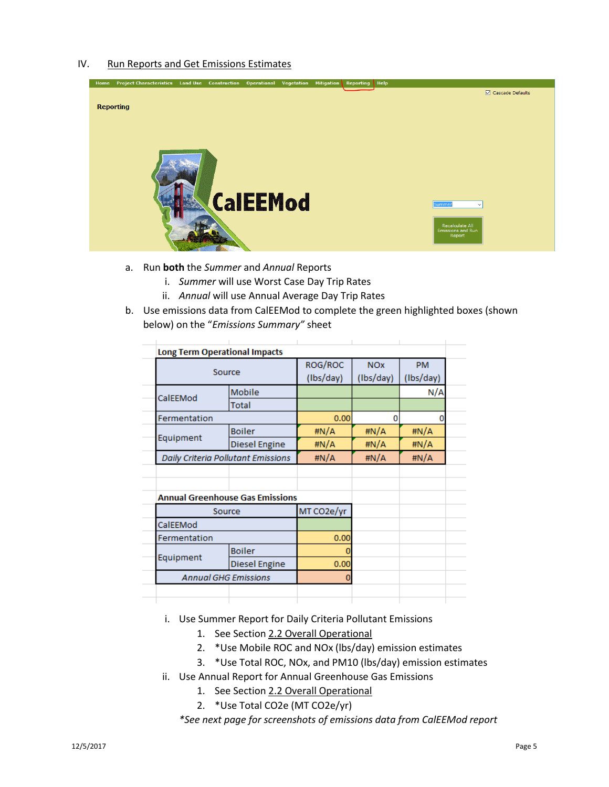#### IV. Run Reports and Get Emissions Estimates



- a. Run **both** the *Summer* and *Annual* Reports
	- i. *Summer* will use Worst Case Day Trip Rates
	- ii. *Annual* will use Annual Average Day Trip Rates
- b. Use emissions data from CalEEMod to complete the green highlighted boxes (shown below) on the "*Emissions Summary"* sheet

|                      |                                                                                       | <b>NO<sub>x</sub></b>                             | <b>PM</b> |  |  |
|----------------------|---------------------------------------------------------------------------------------|---------------------------------------------------|-----------|--|--|
|                      | (Ibs/day)                                                                             | (Ibs/day)                                         | (Ibs/day) |  |  |
| Mobile               |                                                                                       |                                                   | N/A       |  |  |
| <b>Total</b>         |                                                                                       |                                                   |           |  |  |
|                      | 0.00                                                                                  | 0                                                 |           |  |  |
| <b>Boiler</b>        | #N/A                                                                                  | #N/A                                              | #N/A      |  |  |
| <b>Diesel Engine</b> | #N/A                                                                                  | #N/A                                              | #N/A      |  |  |
|                      | #N/A                                                                                  | #N/A                                              | #N/A      |  |  |
|                      |                                                                                       |                                                   |           |  |  |
|                      |                                                                                       |                                                   |           |  |  |
|                      |                                                                                       |                                                   |           |  |  |
|                      | MT CO2e/yr                                                                            |                                                   |           |  |  |
|                      |                                                                                       |                                                   |           |  |  |
|                      | 0.00                                                                                  |                                                   |           |  |  |
| <b>Boiler</b>        |                                                                                       |                                                   |           |  |  |
| Diesel Engine        | 0.00                                                                                  |                                                   |           |  |  |
|                      | 0                                                                                     |                                                   |           |  |  |
|                      |                                                                                       |                                                   |           |  |  |
|                      | Source<br>Daily Criteria Pollutant Emissions<br>Source<br><b>Annual GHG Emissions</b> | ROG/ROC<br><b>Annual Greenhouse Gas Emissions</b> |           |  |  |

i. Use Summer Report for Daily Criteria Pollutant Emissions

- 1. See Section 2.2 Overall Operational
- 2. \*Use Mobile ROC and NOx (lbs/day) emission estimates
- 3. \*Use Total ROC, NOx, and PM10 (lbs/day) emission estimates
- ii. Use Annual Report for Annual Greenhouse Gas Emissions
	- 1. See Section 2.2 Overall Operational
	- 2. \*Use Total CO2e (MT CO2e/yr)

*\*See next page for screenshots of emissions data from CalEEMod report*